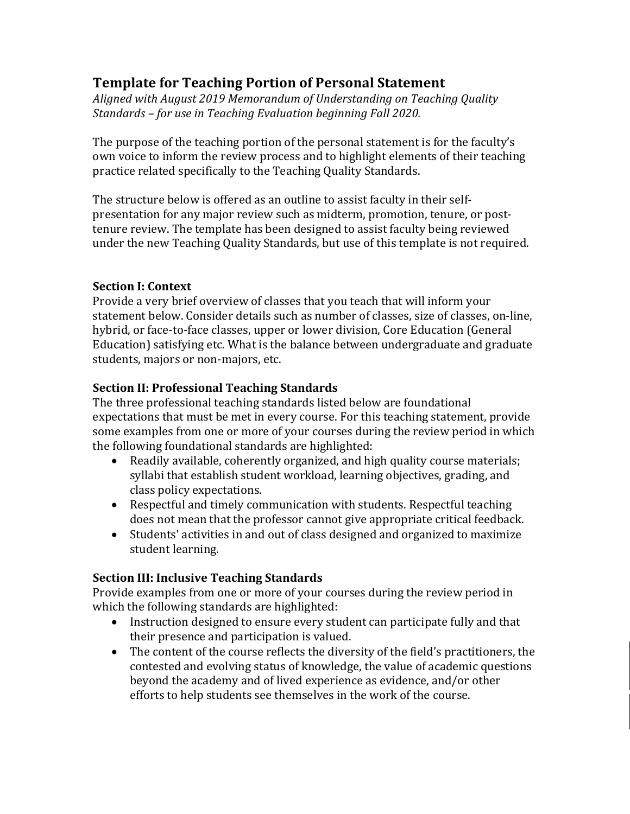# **Template for Teaching Portion of Personal Statement**

Aligned with August 2019 Memorandum of Understanding on Teaching Quality *Standards – for use in Teaching Evaluation beginning Fall 2020.*

The purpose of the teaching portion of the personal statement is for the faculty's own voice to inform the review process and to highlight elements of their teaching practice related specifically to the Teaching Quality Standards.

The structure below is offered as an outline to assist faculty in their selfpresentation for any major review such as midterm, promotion, tenure, or posttenure review. The template has been designed to assist faculty being reviewed under the new Teaching Quality Standards, but use of this template is not required.

#### **Section I: Context**

Provide a very brief overview of classes that you teach that will inform your statement below. Consider details such as number of classes, size of classes, on-line, hybrid, or face-to-face classes, upper or lower division, Core Education (General Education) satisfying etc. What is the balance between undergraduate and graduate students, majors or non-majors, etc.

#### **Section II: Professional Teaching Standards**

The three professional teaching standards listed below are foundational expectations that must be met in every course. For this teaching statement, provide some examples from one or more of your courses during the review period in which the following foundational standards are highlighted:

- Readily available, coherently organized, and high quality course materials; syllabi that establish student workload, learning objectives, grading, and class policy expectations.
- Respectful and timely communication with students. Respectful teaching does not mean that the professor cannot give appropriate critical feedback.
- Students' activities in and out of class designed and organized to maximize student learning.

#### **Section III: Inclusive Teaching Standards**

Provide examples from one or more of your courses during the review period in which the following standards are highlighted:

- Instruction designed to ensure every student can participate fully and that their presence and participation is valued.
- The content of the course reflects the diversity of the field's practitioners, the contested and evolving status of knowledge, the value of academic questions beyond the academy and of lived experience as evidence, and/or other efforts to help students see themselves in the work of the course.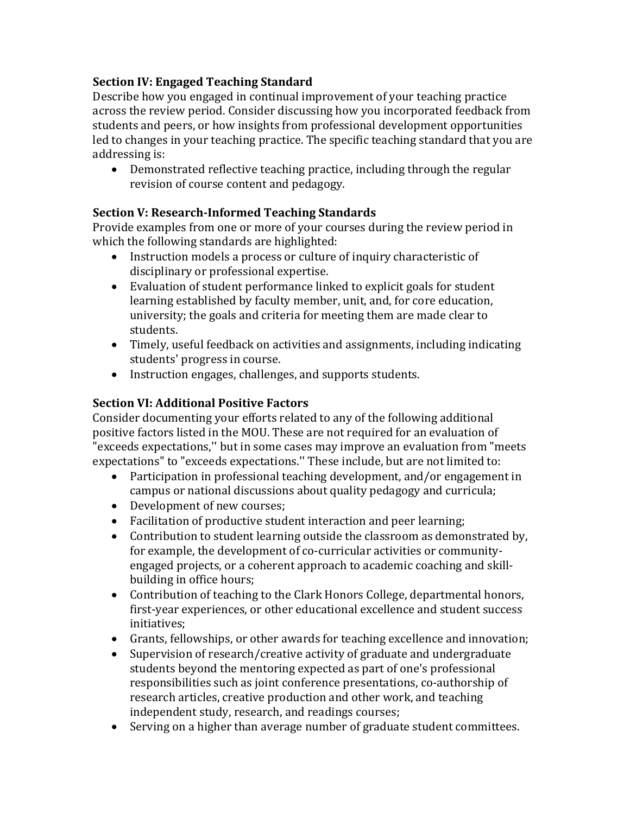### **Section IV: Engaged Teaching Standard**

Describe how you engaged in continual improvement of your teaching practice across the review period. Consider discussing how you incorporated feedback from students and peers, or how insights from professional development opportunities led to changes in your teaching practice. The specific teaching standard that you are addressing is:

• Demonstrated reflective teaching practice, including through the regular revision of course content and pedagogy.

### **Section V: Research-Informed Teaching Standards**

Provide examples from one or more of your courses during the review period in which the following standards are highlighted:

- Instruction models a process or culture of inquiry characteristic of disciplinary or professional expertise.
- Evaluation of student performance linked to explicit goals for student learning established by faculty member, unit, and, for core education, university; the goals and criteria for meeting them are made clear to students.
- Timely, useful feedback on activities and assignments, including indicating students' progress in course.
- Instruction engages, challenges, and supports students.

## **Section VI: Additional Positive Factors**

Consider documenting your efforts related to any of the following additional positive factors listed in the MOU. These are not required for an evaluation of "exceeds expectations," but in some cases may improve an evaluation from "meets" expectations" to "exceeds expectations." These include, but are not limited to:

- Participation in professional teaching development, and/or engagement in campus or national discussions about quality pedagogy and curricula;
- Development of new courses;
- Facilitation of productive student interaction and peer learning;
- Contribution to student learning outside the classroom as demonstrated by, for example, the development of co-curricular activities or communityengaged projects, or a coherent approach to academic coaching and skillbuilding in office hours;
- Contribution of teaching to the Clark Honors College, departmental honors, first-year experiences, or other educational excellence and student success initiatives;
- Grants, fellowships, or other awards for teaching excellence and innovation;
- Supervision of research/creative activity of graduate and undergraduate students beyond the mentoring expected as part of one's professional responsibilities such as joint conference presentations, co-authorship of research articles, creative production and other work, and teaching independent study, research, and readings courses;
- Serving on a higher than average number of graduate student committees.